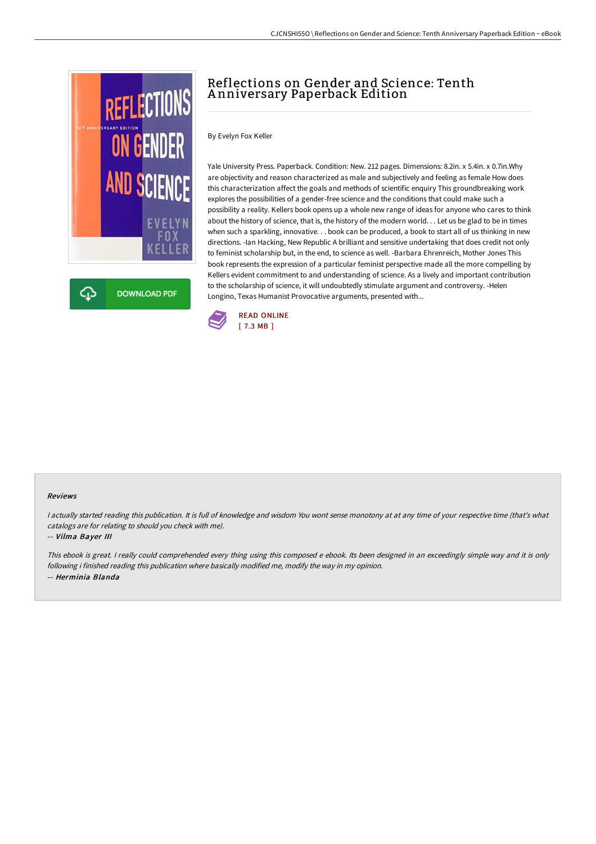

**DOWNLOAD PDF** Φ

# Reflections on Gender and Science: Tenth A nniversary Paperback Edition

By Evelyn Fox Keller

Yale University Press. Paperback. Condition: New. 212 pages. Dimensions: 8.2in. x 5.4in. x 0.7in.Why are objectivity and reason characterized as male and subjectively and feeling as female How does this characterization affect the goals and methods of scientific enquiry This groundbreaking work explores the possibilities of a gender-free science and the conditions that could make such a possibility a reality. Kellers book opens up a whole new range of ideas for anyone who cares to think about the history of science, that is, the history of the modern world. . . Let us be glad to be in times when such a sparkling, innovative. . . book can be produced, a book to start all of us thinking in new directions. -Ian Hacking, New Republic A brilliant and sensitive undertaking that does credit not only to feminist scholarship but, in the end, to science as well. -Barbara Ehrenreich, Mother Jones This book represents the expression of a particular feminist perspective made all the more compelling by Kellers evident commitment to and understanding of science. As a lively and important contribution to the scholarship of science, it will undoubtedly stimulate argument and controversy. -Helen Longino, Texas Humanist Provocative arguments, presented with...



#### Reviews

I actually started reading this publication. It is full of knowledge and wisdom You wont sense monotony at at any time of your respective time (that's what catalogs are for relating to should you check with me).

#### -- Vilma Bayer III

This ebook is great. I really could comprehended every thing using this composed e ebook. Its been designed in an exceedingly simple way and it is only following i finished reading this publication where basically modified me, modify the way in my opinion. -- Herminia Blanda